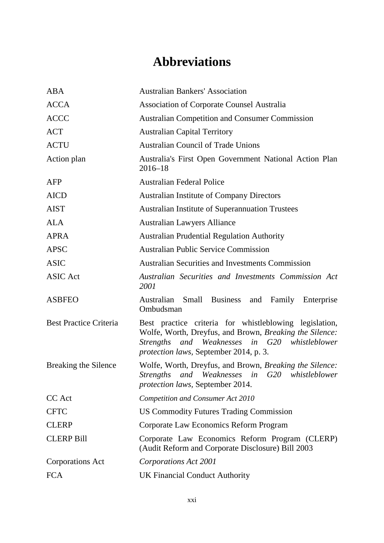## **Abbreviations**

| <b>ABA</b>                    | <b>Australian Bankers' Association</b>                                                                                                                                                                                        |
|-------------------------------|-------------------------------------------------------------------------------------------------------------------------------------------------------------------------------------------------------------------------------|
| <b>ACCA</b>                   | <b>Association of Corporate Counsel Australia</b>                                                                                                                                                                             |
| <b>ACCC</b>                   | <b>Australian Competition and Consumer Commission</b>                                                                                                                                                                         |
| <b>ACT</b>                    | <b>Australian Capital Territory</b>                                                                                                                                                                                           |
| <b>ACTU</b>                   | <b>Australian Council of Trade Unions</b>                                                                                                                                                                                     |
| Action plan                   | Australia's First Open Government National Action Plan<br>$2016 - 18$                                                                                                                                                         |
| AFP                           | <b>Australian Federal Police</b>                                                                                                                                                                                              |
| <b>AICD</b>                   | <b>Australian Institute of Company Directors</b>                                                                                                                                                                              |
| <b>AIST</b>                   | <b>Australian Institute of Superannuation Trustees</b>                                                                                                                                                                        |
| <b>ALA</b>                    | <b>Australian Lawyers Alliance</b>                                                                                                                                                                                            |
| <b>APRA</b>                   | <b>Australian Prudential Regulation Authority</b>                                                                                                                                                                             |
| <b>APSC</b>                   | <b>Australian Public Service Commission</b>                                                                                                                                                                                   |
| <b>ASIC</b>                   | <b>Australian Securities and Investments Commission</b>                                                                                                                                                                       |
| <b>ASIC</b> Act               | Australian Securities and Investments Commission Act<br>2001                                                                                                                                                                  |
| <b>ASBFEO</b>                 | Australian<br>Small Business<br>and<br>Family<br>Enterprise<br>Ombudsman                                                                                                                                                      |
| <b>Best Practice Criteria</b> | Best practice criteria for whistleblowing legislation,<br>Wolfe, Worth, Dreyfus, and Brown, Breaking the Silence:<br><i>Strengths</i><br>and Weaknesses in G20 whistleblower<br><i>protection laws, September 2014, p. 3.</i> |
| Breaking the Silence          | Wolfe, Worth, Dreyfus, and Brown, Breaking the Silence:<br>Strengths and Weaknesses in G20 whistleblower<br>protection laws, September 2014.                                                                                  |
| CC Act                        | <b>Competition and Consumer Act 2010</b>                                                                                                                                                                                      |
| <b>CFTC</b>                   | <b>US Commodity Futures Trading Commission</b>                                                                                                                                                                                |
| <b>CLERP</b>                  | Corporate Law Economics Reform Program                                                                                                                                                                                        |
| <b>CLERP Bill</b>             | Corporate Law Economics Reform Program (CLERP)<br>(Audit Reform and Corporate Disclosure) Bill 2003                                                                                                                           |
| <b>Corporations Act</b>       | Corporations Act 2001                                                                                                                                                                                                         |
| <b>FCA</b>                    | <b>UK Financial Conduct Authority</b>                                                                                                                                                                                         |